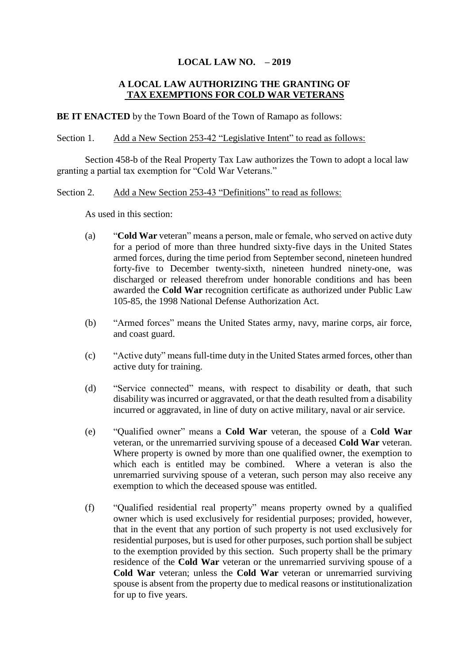# **LOCAL LAW NO. – 2019**

# **A LOCAL LAW AUTHORIZING THE GRANTING OF TAX EXEMPTIONS FOR COLD WAR VETERANS**

**BE IT ENACTED** by the Town Board of the Town of Ramapo as follows:

Section 1. Add a New Section 253-42 "Legislative Intent" to read as follows:

Section 458-b of the Real Property Tax Law authorizes the Town to adopt a local law granting a partial tax exemption for "Cold War Veterans."

### Section 2. Add a New Section 253-43 "Definitions" to read as follows:

As used in this section:

- (a) "**Cold War** veteran" means a person, male or female, who served on active duty for a period of more than three hundred sixty-five days in the United States armed forces, during the time period from September second, nineteen hundred forty-five to December twenty-sixth, nineteen hundred ninety-one, was discharged or released therefrom under honorable conditions and has been awarded the **Cold War** recognition certificate as authorized under Public Law 105-85, the 1998 National Defense Authorization Act.
- (b) "Armed forces" means the United States army, navy, marine corps, air force, and coast guard.
- (c) "Active duty" means full-time duty in the United States armed forces, other than active duty for training.
- (d) "Service connected" means, with respect to disability or death, that such disability was incurred or aggravated, or that the death resulted from a disability incurred or aggravated, in line of duty on active military, naval or air service.
- (e) "Qualified owner" means a **Cold War** veteran, the spouse of a **Cold War** veteran, or the unremarried surviving spouse of a deceased **Cold War** veteran. Where property is owned by more than one qualified owner, the exemption to which each is entitled may be combined. Where a veteran is also the unremarried surviving spouse of a veteran, such person may also receive any exemption to which the deceased spouse was entitled.
- (f) "Qualified residential real property" means property owned by a qualified owner which is used exclusively for residential purposes; provided, however, that in the event that any portion of such property is not used exclusively for residential purposes, but is used for other purposes, such portion shall be subject to the exemption provided by this section. Such property shall be the primary residence of the **Cold War** veteran or the unremarried surviving spouse of a **Cold War** veteran; unless the **Cold War** veteran or unremarried surviving spouse is absent from the property due to medical reasons or institutionalization for up to five years.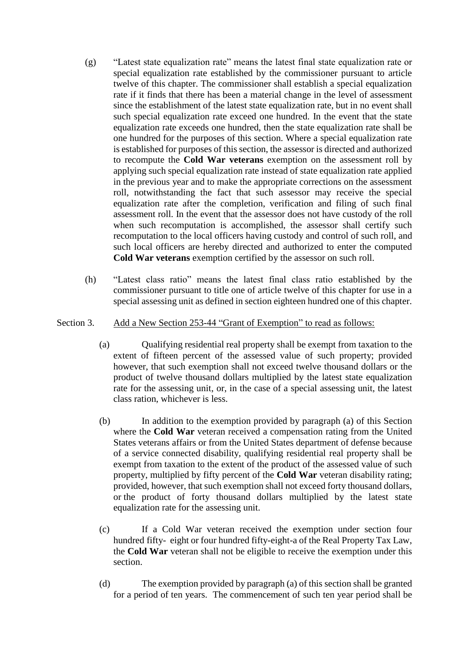- (g) "Latest state equalization rate" means the latest final state equalization rate or special equalization rate established by the commissioner pursuant to article twelve of this chapter. The commissioner shall establish a special equalization rate if it finds that there has been a material change in the level of assessment since the establishment of the latest state equalization rate, but in no event shall such special equalization rate exceed one hundred. In the event that the state equalization rate exceeds one hundred, then the state equalization rate shall be one hundred for the purposes of this section. Where a special equalization rate is established for purposes of this section, the assessor is directed and authorized to recompute the **Cold War veterans** exemption on the assessment roll by applying such special equalization rate instead of state equalization rate applied in the previous year and to make the appropriate corrections on the assessment roll, notwithstanding the fact that such assessor may receive the special equalization rate after the completion, verification and filing of such final assessment roll. In the event that the assessor does not have custody of the roll when such recomputation is accomplished, the assessor shall certify such recomputation to the local officers having custody and control of such roll, and such local officers are hereby directed and authorized to enter the computed **Cold War veterans** exemption certified by the assessor on such roll.
- (h) "Latest class ratio" means the latest final class ratio established by the commissioner pursuant to title one of article twelve of this chapter for use in a special assessing unit as defined in section eighteen hundred one of this chapter.

### Section 3. Add a New Section 253-44 "Grant of Exemption" to read as follows:

- (a) Qualifying residential real property shall be exempt from taxation to the extent of fifteen percent of the assessed value of such property; provided however, that such exemption shall not exceed twelve thousand dollars or the product of twelve thousand dollars multiplied by the latest state equalization rate for the assessing unit, or, in the case of a special assessing unit, the latest class ration, whichever is less.
- (b) In addition to the exemption provided by paragraph (a) of this Section where the **Cold War** veteran received a compensation rating from the United States veterans affairs or from the United States department of defense because of a service connected disability, qualifying residential real property shall be exempt from taxation to the extent of the product of the assessed value of such property, multiplied by fifty percent of the **Cold War** veteran disability rating; provided, however, that such exemption shall not exceed forty thousand dollars, or the product of forty thousand dollars multiplied by the latest state equalization rate for the assessing unit.
- (c) If a Cold War veteran received the exemption under section four hundred fifty- eight or four hundred fifty-eight-a of the Real Property Tax Law, the **Cold War** veteran shall not be eligible to receive the exemption under this section.
- (d) The exemption provided by paragraph (a) of this section shall be granted for a period of ten years. The commencement of such ten year period shall be